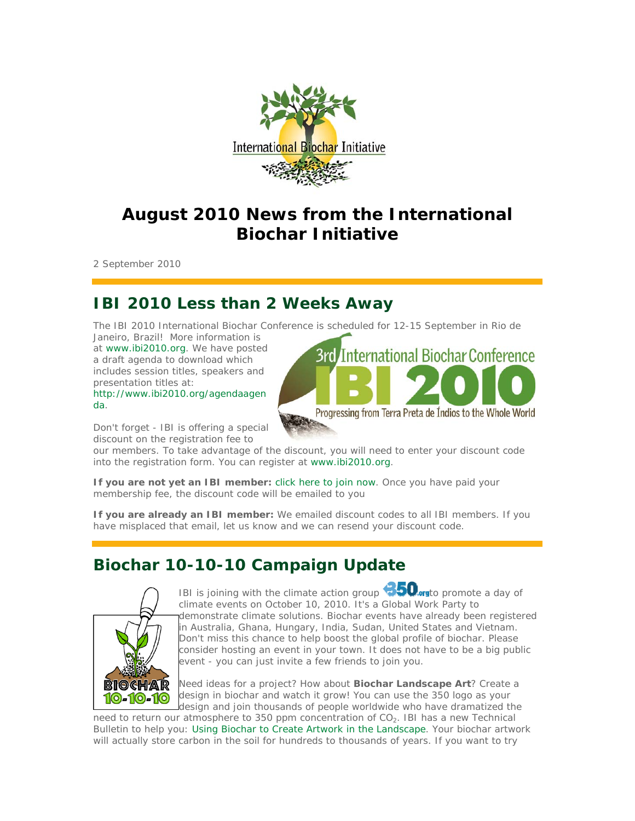

# **August 2010 News from the International Biochar Initiative**

2 September 2010

# **IBI 2010 Less than 2 Weeks Away**

The IBI 2010 International Biochar Conference is scheduled for 12-15 September in Rio de Janeiro, Brazil! More information is

at www.ibi2010.org. We have posted a draft agenda to download which includes session titles, speakers and presentation titles at:

http://www.ibi2010.org/agendaagen da.



Don't forget - IBI is offering a special discount on the registration fee to

our members. To take advantage of the discount, you will need to enter your discount code into the registration form. You can register at www.ibi2010.org.

*If you are not yet an IBI member:* click here to join now. Once you have paid your membership fee, the discount code will be emailed to you

*If you are already an IBI member:* We emailed discount codes to all IBI members. If you have misplaced that email, let us know and we can resend your discount code.

# **Biochar 10-10-10 Campaign Update**



IBI is joining with the climate action group **1950** or to promote a day of climate events on October 10, 2010. It's a Global Work Party to demonstrate climate solutions. Biochar events have already been registered in Australia, Ghana, Hungary, India, Sudan, United States and Vietnam. Don't miss this chance to help boost the global profile of biochar. Please consider hosting an event in your town. It does not have to be a big public event - you can just invite a few friends to join you.

Need ideas for a project? How about **Biochar Landscape Art**? Create a design in biochar and watch it grow! You can use the 350 logo as your design and join thousands of people worldwide who have dramatized the

need to return our atmosphere to 350 ppm concentration of  $CO<sub>2</sub>$ . IBI has a new Technical Bulletin to help you: Using Biochar to Create Artwork in the Landscape. Your biochar artwork will actually store carbon in the soil for hundreds to thousands of years. If you want to try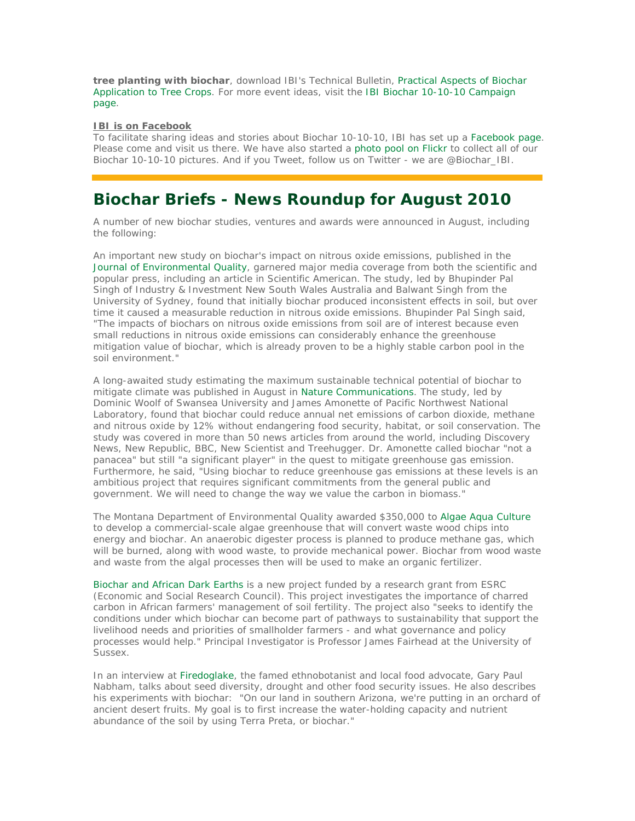**tree planting with biochar**, download IBI's Technical Bulletin, Practical Aspects of Biochar Application to Tree Crops. For more event ideas, visit the IBI Biochar 10-10-10 Campaign page.

#### **IBI is on Facebook**

To facilitate sharing ideas and stories about Biochar 10-10-10, IBI has set up a Facebook page. Please come and visit us there. We have also started a photo pool on Flickr to collect all of our Biochar 10-10-10 pictures. And if you Tweet, follow us on Twitter - we are @Biochar\_IBI.

### **Biochar Briefs - News Roundup for August 2010**

A number of new biochar studies, ventures and awards were announced in August, including the following:

*An important new study on biochar's impact on nitrous oxide emissions*, published in the Journal of Environmental Quality, garnered major media coverage from both the scientific and popular press, including an article in Scientific American. The study, led by Bhupinder Pal Singh of Industry & Investment New South Wales Australia and Balwant Singh from the University of Sydney, found that initially biochar produced inconsistent effects in soil, but over time it caused a measurable reduction in nitrous oxide emissions. Bhupinder Pal Singh said, "The impacts of biochars on nitrous oxide emissions from soil are of interest because even small reductions in nitrous oxide emissions can considerably enhance the greenhouse mitigation value of biochar, which is already proven to be a highly stable carbon pool in the soil environment."

*A long-awaited study estimating the maximum sustainable technical potential of biochar* to mitigate climate was published in August in Nature Communications. The study, led by Dominic Woolf of Swansea University and James Amonette of Pacific Northwest National Laboratory, found that biochar could reduce annual net emissions of carbon dioxide, methane and nitrous oxide by 12% without endangering food security, habitat, or soil conservation. The study was covered in more than 50 news articles from around the world, including Discovery News, New Republic, BBC, New Scientist and Treehugger. Dr. Amonette called biochar "not a panacea" but still "a significant player" in the quest to mitigate greenhouse gas emission. Furthermore, he said, "Using biochar to reduce greenhouse gas emissions at these levels is an ambitious project that requires significant commitments from the general public and government. We will need to change the way we value the carbon in biomass."

*The Montana Department of Environmental Quality* awarded \$350,000 to Algae Aqua Culture to develop a commercial-scale algae greenhouse that will convert waste wood chips into energy and biochar. An anaerobic digester process is planned to produce methane gas, which will be burned, along with wood waste, to provide mechanical power. Biochar from wood waste and waste from the algal processes then will be used to make an organic fertilizer.

*Biochar and African Dark Earths is a new project funded by a research grant from ESRC* (Economic and Social Research Council). This project investigates the importance of charred carbon in African farmers' management of soil fertility. The project also "seeks to identify the conditions under which biochar can become part of pathways to sustainability that support the livelihood needs and priorities of smallholder farmers - and what governance and policy processes would help." Principal Investigator is Professor James Fairhead at the University of Sussex.

*In an interview at Firedoglake, the famed ethnobotanist* and local food advocate, Gary Paul Nabham, talks about seed diversity, drought and other food security issues. He also describes his experiments with biochar: "On our land in southern Arizona, we're putting in an orchard of ancient desert fruits. My goal is to first increase the water-holding capacity and nutrient abundance of the soil by using Terra Preta, or biochar."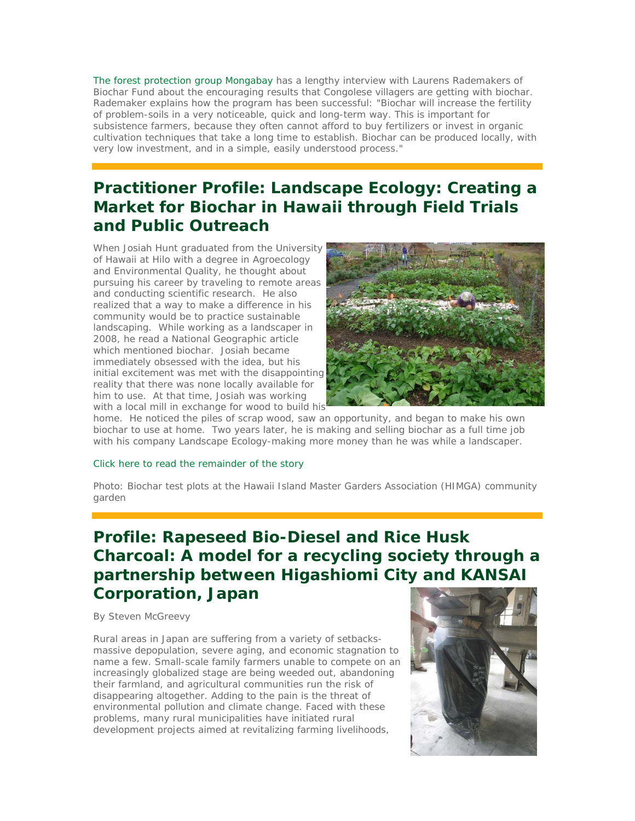*The forest protection group Mongabay has a lengthy interview with Laurens Rademakers* of Biochar Fund about the encouraging results that Congolese villagers are getting with biochar. Rademaker explains how the program has been successful: "Biochar will increase the fertility of problem-soils in a very noticeable, quick and long-term way. This is important for subsistence farmers, because they often cannot afford to buy fertilizers or invest in organic cultivation techniques that take a long time to establish. Biochar can be produced locally, with very low investment, and in a simple, easily understood process."

# **Practitioner Profile: Landscape Ecology: Creating a Market for Biochar in Hawaii through Field Trials and Public Outreach**

When Josiah Hunt graduated from the University of Hawaii at Hilo with a degree in Agroecology and Environmental Quality, he thought about pursuing his career by traveling to remote areas and conducting scientific research. He also realized that a way to make a difference in his community would be to practice sustainable landscaping. While working as a landscaper in 2008, he read a National Geographic article which mentioned biochar. Josiah became immediately obsessed with the idea, but his initial excitement was met with the disappointing reality that there was none locally available for him to use. At that time, Josiah was working with a local mill in exchange for wood to build his



home. He noticed the piles of scrap wood, saw an opportunity, and began to make his own biochar to use at home. Two years later, he is making and selling biochar as a full time job with his company Landscape Ecology-making more money than he was while a landscaper.

#### Click here to read the remainder of the story

Photo: *Biochar test plots at the Hawaii Island Master Garders Association (HIMGA) community garden*

## **Profile: Rapeseed Bio-Diesel and Rice Husk Charcoal: A model for a recycling society through a partnership between Higashiomi City and KANSAI Corporation, Japan**

By Steven McGreevy

Rural areas in Japan are suffering from a variety of setbacksmassive depopulation, severe aging, and economic stagnation to name a few. Small-scale family farmers unable to compete on an increasingly globalized stage are being weeded out, abandoning their farmland, and agricultural communities run the risk of disappearing altogether. Adding to the pain is the threat of environmental pollution and climate change. Faced with these problems, many rural municipalities have initiated rural development projects aimed at revitalizing farming livelihoods,

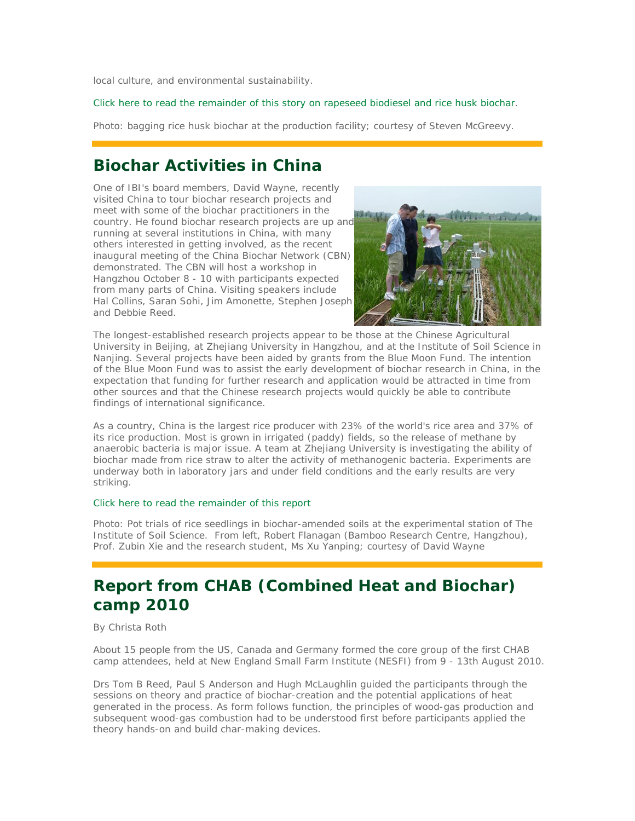local culture, and environmental sustainability.

Click here to read the remainder of this story on rapeseed biodiesel and rice husk biochar.

Photo: *bagging rice husk biochar at the production facility; courtesy of Steven McGreevy*.

### **Biochar Activities in China**

One of IBI's board members, David Wayne, recently visited China to tour biochar research projects and meet with some of the biochar practitioners in the country. He found biochar research projects are up and running at several institutions in China, with many others interested in getting involved, as the recent inaugural meeting of the China Biochar Network (CBN) demonstrated. The CBN will host a workshop in Hangzhou October 8 - 10 with participants expected from many parts of China. Visiting speakers include Hal Collins, Saran Sohi, Jim Amonette, Stephen Joseph and Debbie Reed.



The longest-established research projects appear to be those at the Chinese Agricultural University in Beijing, at Zhejiang University in Hangzhou, and at the Institute of Soil Science in Nanjing. Several projects have been aided by grants from the Blue Moon Fund. The intention of the Blue Moon Fund was to assist the early development of biochar research in China, in the expectation that funding for further research and application would be attracted in time from other sources and that the Chinese research projects would quickly be able to contribute findings of international significance.

As a country, China is the largest rice producer with 23% of the world's rice area and 37% of its rice production. Most is grown in irrigated (paddy) fields, so the release of methane by anaerobic bacteria is major issue. A team at Zhejiang University is investigating the ability of biochar made from rice straw to alter the activity of methanogenic bacteria. Experiments are underway both in laboratory jars and under field conditions and the early results are very striking.

#### Click here to read the remainder of this report

Photo: *Pot trials of rice seedlings in biochar-amended soils at the experimental station of The Institute of Soil Science. From left, Robert Flanagan (Bamboo Research Centre, Hangzhou), Prof. Zubin Xie and the research student, Ms Xu Yanping*; *courtesy of David Wayne*

## **Report from CHAB (Combined Heat and Biochar) camp 2010**

#### By Christa Roth

About 15 people from the US, Canada and Germany formed the core group of the first CHAB camp attendees, held at New England Small Farm Institute (NESFI) from 9 - 13th August 2010.

Drs Tom B Reed, Paul S Anderson and Hugh McLaughlin guided the participants through the sessions on theory and practice of biochar-creation and the potential applications of heat generated in the process. As form follows function, the principles of wood-gas production and subsequent wood-gas combustion had to be understood first before participants applied the theory hands-on and build char-making devices.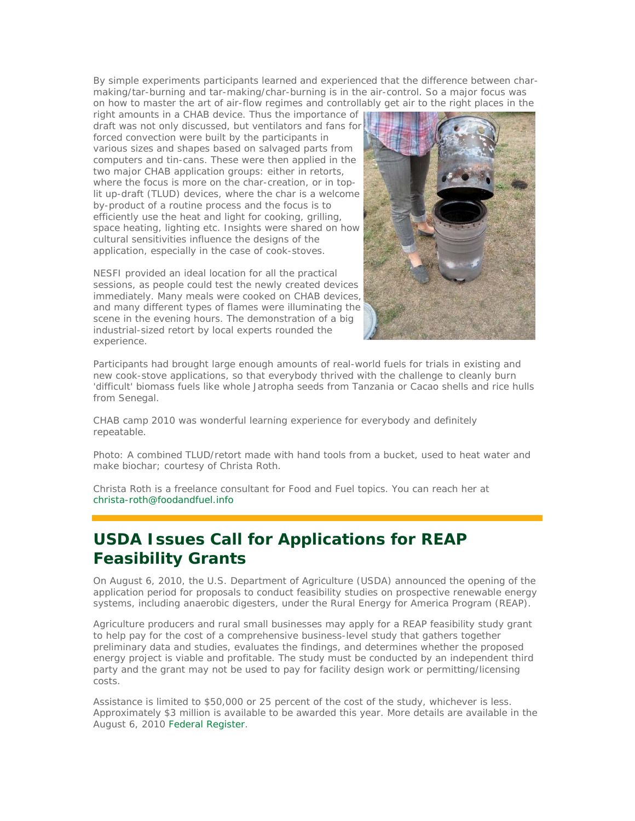By simple experiments participants learned and experienced that the difference between charmaking/tar-burning and tar-making/char-burning is in the air-control. So a major focus was on how to master the art of air-flow regimes and controllably get air to the right places in the

right amounts in a CHAB device. Thus the importance of draft was not only discussed, but ventilators and fans for forced convection were built by the participants in various sizes and shapes based on salvaged parts from computers and tin-cans. These were then applied in the two major CHAB application groups: either in retorts, where the focus is more on the char-creation, or in toplit up-draft (TLUD) devices, where the char is a welcome by-product of a routine process and the focus is to efficiently use the heat and light for cooking, grilling, space heating, lighting etc. Insights were shared on how cultural sensitivities influence the designs of the application, especially in the case of cook-stoves.

NESFI provided an ideal location for all the practical sessions, as people could test the newly created devices immediately. Many meals were cooked on CHAB devices, and many different types of flames were illuminating the scene in the evening hours. The demonstration of a big industrial-sized retort by local experts rounded the experience.



Participants had brought large enough amounts of real-world fuels for trials in existing and new cook-stove applications, so that everybody thrived with the challenge to cleanly burn 'difficult' biomass fuels like whole Jatropha seeds from Tanzania or Cacao shells and rice hulls from Senegal.

CHAB camp 2010 was wonderful learning experience for everybody and definitely repeatable.

Photo: *A combined TLUD/retort made with hand tools from a bucket, used to heat water and make biochar; courtesy of Christa Roth*.

Christa Roth is a freelance consultant for Food and Fuel topics. You can reach her at christa-roth@foodandfuel.info

## **USDA Issues Call for Applications for REAP Feasibility Grants**

On August 6, 2010, the U.S. Department of Agriculture (USDA) announced the opening of the application period for proposals to conduct feasibility studies on prospective renewable energy systems, including anaerobic digesters, under the Rural Energy for America Program (REAP).

Agriculture producers and rural small businesses may apply for a REAP feasibility study grant to help pay for the cost of a comprehensive business-level study that gathers together preliminary data and studies, evaluates the findings, and determines whether the proposed energy project is viable and profitable. The study must be conducted by an independent third party and the grant may not be used to pay for facility design work or permitting/licensing costs.

Assistance is limited to \$50,000 or 25 percent of the cost of the study, whichever is less. Approximately \$3 million is available to be awarded this year. More details are available in the August 6, 2010 Federal Register.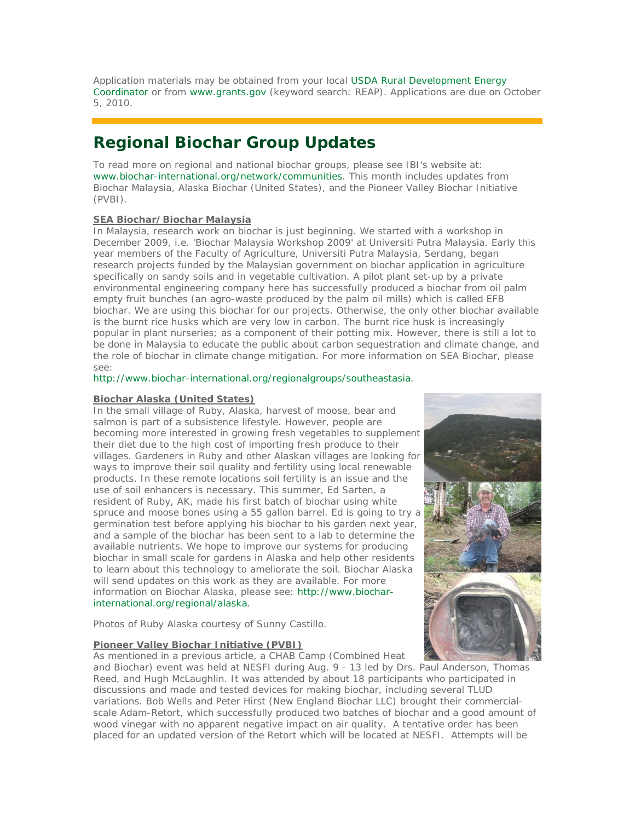Application materials may be obtained from your local USDA Rural Development Energy Coordinator or from www.grants.gov (keyword search: REAP). Applications are due on October 5, 2010.

## **Regional Biochar Group Updates**

To read more on regional and national biochar groups, please see IBI's website at: www.biochar-international.org/network/communities. This month includes updates from Biochar Malaysia, Alaska Biochar (United States), and the Pioneer Valley Biochar Initiative (PVBI).

#### **SEA Biochar/Biochar Malaysia**

In Malaysia, research work on biochar is just beginning. We started with a workshop in December 2009, i.e. 'Biochar Malaysia Workshop 2009' at Universiti Putra Malaysia. Early this year members of the Faculty of Agriculture, Universiti Putra Malaysia, Serdang, began research projects funded by the Malaysian government on biochar application in agriculture specifically on sandy soils and in vegetable cultivation. A pilot plant set-up by a private environmental engineering company here has successfully produced a biochar from oil palm empty fruit bunches (an agro-waste produced by the palm oil mills) which is called EFB biochar. We are using this biochar for our projects. Otherwise, the only other biochar available is the burnt rice husks which are very low in carbon. The burnt rice husk is increasingly popular in plant nurseries; as a component of their potting mix. However, there is still a lot to be done in Malaysia to educate the public about carbon sequestration and climate change, and the role of biochar in climate change mitigation. For more information on SEA Biochar, please see:

#### http://www.biochar-international.org/regionalgroups/southeastasia.

#### **Biochar Alaska (United States)**

In the small village of Ruby, Alaska, harvest of moose, bear and salmon is part of a subsistence lifestyle. However, people are becoming more interested in growing fresh vegetables to supplement their diet due to the high cost of importing fresh produce to their villages. Gardeners in Ruby and other Alaskan villages are looking for ways to improve their soil quality and fertility using local renewable products. In these remote locations soil fertility is an issue and the use of soil enhancers is necessary. This summer, Ed Sarten, a resident of Ruby, AK, made his first batch of biochar using white spruce and moose bones using a 55 gallon barrel. Ed is going to try a germination test before applying his biochar to his garden next year, and a sample of the biochar has been sent to a lab to determine the available nutrients. We hope to improve our systems for producing biochar in small scale for gardens in Alaska and help other residents to learn about this technology to ameliorate the soil. Biochar Alaska will send updates on this work as they are available. For more information on Biochar Alaska, please see: http://www.biocharinternational.org/regional/alaska.

*Photos of Ruby Alaska courtesy of Sunny Castillo.*

#### **Pioneer Valley Biochar Initiative (PVBI)**

As mentioned in a previous article, a CHAB Camp (Combined Heat

and Biochar) event was held at NESFI during Aug. 9 - 13 led by Drs. Paul Anderson, Thomas Reed, and Hugh McLaughlin. It was attended by about 18 participants who participated in discussions and made and tested devices for making biochar, including several TLUD variations. Bob Wells and Peter Hirst (New England Biochar LLC) brought their commercialscale Adam-Retort, which successfully produced two batches of biochar and a good amount of wood vinegar with no apparent negative impact on air quality. A tentative order has been placed for an updated version of the Retort which will be located at NESFI. Attempts will be

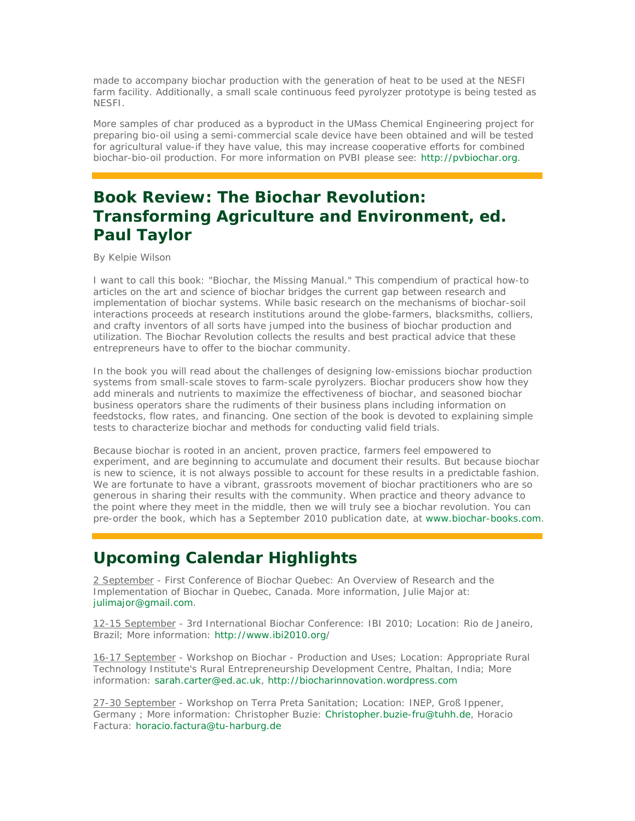made to accompany biochar production with the generation of heat to be used at the NESFI farm facility. Additionally, a small scale continuous feed pyrolyzer prototype is being tested as NESFI.

More samples of char produced as a byproduct in the UMass Chemical Engineering project for preparing bio-oil using a semi-commercial scale device have been obtained and will be tested for agricultural value-if they have value, this may increase cooperative efforts for combined biochar-bio-oil production. For more information on PVBI please see: http://pvbiochar.org.

## **Book Review: The Biochar Revolution: Transforming Agriculture and Environment, ed. Paul Taylor**

By Kelpie Wilson

I want to call this book: "Biochar, the Missing Manual." This compendium of practical how-to articles on the art and science of biochar bridges the current gap between research and implementation of biochar systems. While basic research on the mechanisms of biochar-soil interactions proceeds at research institutions around the globe-farmers, blacksmiths, colliers, and crafty inventors of all sorts have jumped into the business of biochar production and utilization. The Biochar Revolution collects the results and best practical advice that these entrepreneurs have to offer to the biochar community.

In the book you will read about the challenges of designing low-emissions biochar production systems from small-scale stoves to farm-scale pyrolyzers. Biochar producers show how they add minerals and nutrients to maximize the effectiveness of biochar, and seasoned biochar business operators share the rudiments of their business plans including information on feedstocks, flow rates, and financing. One section of the book is devoted to explaining simple tests to characterize biochar and methods for conducting valid field trials.

Because biochar is rooted in an ancient, proven practice, farmers feel empowered to experiment, and are beginning to accumulate and document their results. But because biochar is new to science, it is not always possible to account for these results in a predictable fashion. We are fortunate to have a vibrant, grassroots movement of biochar practitioners who are so generous in sharing their results with the community. When practice and theory advance to the point where they meet in the middle, then we will truly see a biochar revolution. You can pre-order the book, which has a September 2010 publication date, at www.biochar-books.com.

### **Upcoming Calendar Highlights**

2 September - First Conference of Biochar Quebec: An Overview of Research and the Implementation of Biochar in Quebec, Canada. More information, Julie Major at: julimajor@gmail.com.

12-15 September - 3rd International Biochar Conference: IBI 2010; Location: Rio de Janeiro, Brazil; More information: http://www.ibi2010.org/

16-17 September - Workshop on Biochar - Production and Uses; Location: Appropriate Rural Technology Institute's Rural Entrepreneurship Development Centre, Phaltan, India; More information: sarah.carter@ed.ac.uk, http://biocharinnovation.wordpress.com

27-30 September - Workshop on Terra Preta Sanitation; Location: INEP, Groß Ippener, Germany ; More information: Christopher Buzie: Christopher.buzie-fru@tuhh.de, Horacio Factura: horacio.factura@tu-harburg.de